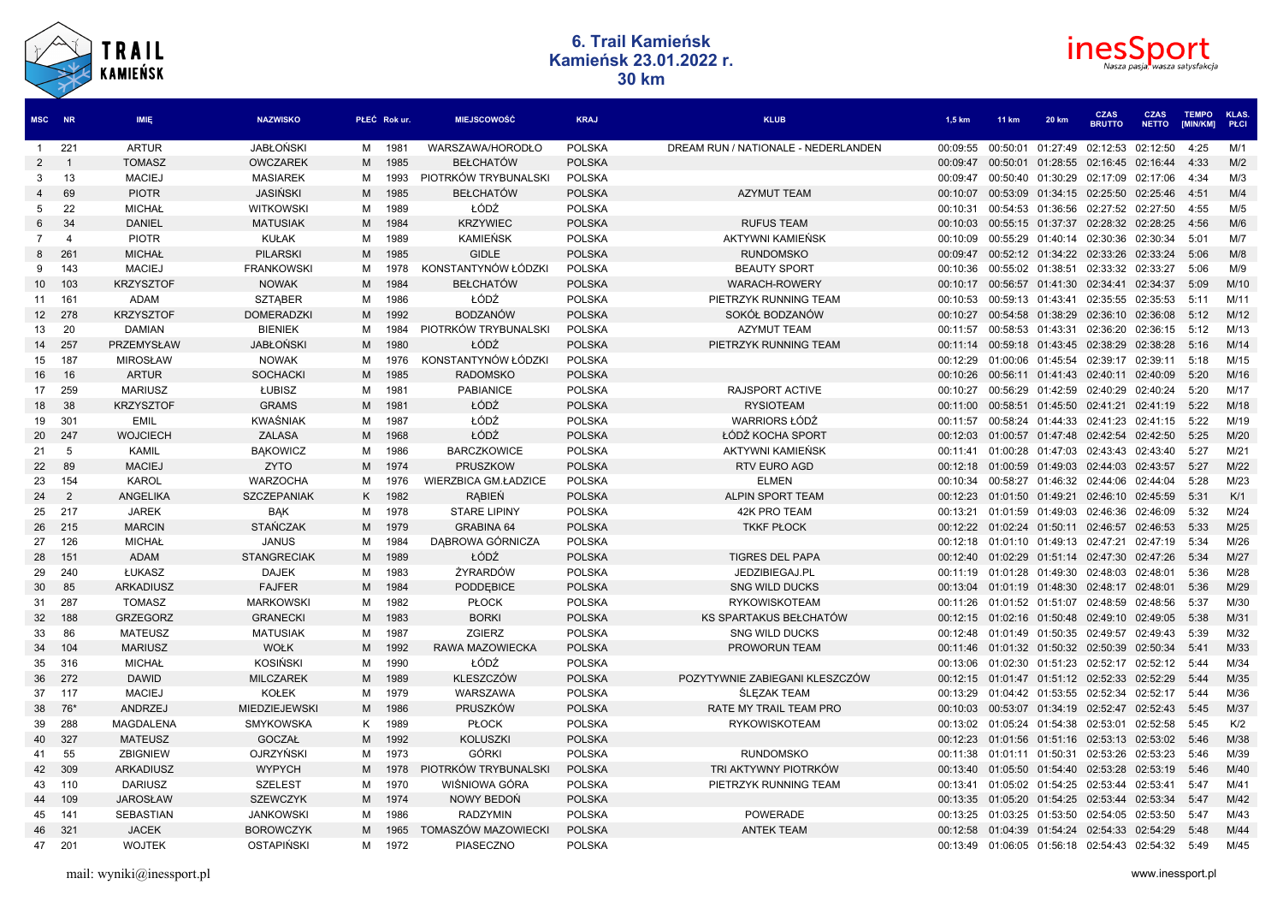



| <b>MSC</b>      | <b>NR</b>      | <b>IMIE</b>       | <b>NAZWISKO</b>      |   | PŁEĆ Rok ur. | <b>MIEJSCOWOŚĆ</b>   | <b>KRAJ</b>   | <b>KLUB</b>                         | 1,5 km   | <b>11 km</b>      | <b>20 km</b>      | <b>CZAS</b><br><b>BRUTTO</b> | <b>CZAS</b><br><b>NETTO</b> | <b>TEMPO</b><br>[MIN/KM] | KLAS.<br><b>PŁCI</b> |
|-----------------|----------------|-------------------|----------------------|---|--------------|----------------------|---------------|-------------------------------------|----------|-------------------|-------------------|------------------------------|-----------------------------|--------------------------|----------------------|
| $\mathbf{1}$    | 221            | <b>ARTUR</b>      | <b>JABŁOŃSKI</b>     | M | 1981         | WARSZAWA/HORODŁO     | <b>POLSKA</b> | DREAM RUN / NATIONALE - NEDERLANDEN | 00:09:55 | 00:50:01          | 01:27:49          | 02:12:53                     | 02:12:50                    | 4:25                     | M/1                  |
| 2               | -1             | <b>TOMASZ</b>     | <b>OWCZAREK</b>      | M | 1985         | <b>BEŁCHATÓW</b>     | <b>POLSKA</b> |                                     | 00:09:47 | 00:50:01          | 01:28:55          | 02:16:45 02:16:44            |                             | 4:33                     | M/2                  |
| -3              | 13             | <b>MACIEJ</b>     | <b>MASIAREK</b>      | M | 1993         | PIOTRKÓW TRYBUNALSKI | <b>POLSKA</b> |                                     | 00:09:47 |                   | 00:50:40 01:30:29 | 02:17:09                     | 02:17:06                    | 4:34                     | M/3                  |
|                 | 69             | <b>PIOTR</b>      | JASIŃSKI             | M | 1985         | <b>BEŁCHATÓW</b>     | <b>POLSKA</b> | <b>AZYMUT TEAM</b>                  | 00:10:07 |                   | 00:53:09 01:34:15 | 02:25:50 02:25:46            |                             | 4:51                     | M/4                  |
| 5               | 22             | <b>MICHAŁ</b>     | <b>WITKOWSKI</b>     | м | 1989         | ŁÓDŹ                 | <b>POLSKA</b> |                                     | 00:10:31 |                   | 00:54:53 01:36:56 | 02:27:52 02:27:50            |                             | 4:55                     | M/5                  |
| 6               | 34             | <b>DANIEL</b>     | <b>MATUSIAK</b>      | M | 1984         | <b>KRZYWIEC</b>      | <b>POLSKA</b> | <b>RUFUS TEAM</b>                   | 00:10:03 |                   | 00:55:15 01:37:37 | 02:28:32 02:28:25            |                             | 4:56                     | M/6                  |
| 7               | $\overline{4}$ | <b>PIOTR</b>      | <b>KUŁAK</b>         | м | 1989         | <b>KAMIEŃSK</b>      | <b>POLSKA</b> | AKTYWNI KAMIEŃSK                    | 00:10:09 | 00:55:29 01:40:14 |                   | 02:30:36 02:30:34            |                             | 5:01                     | M/7                  |
| 8               | 26'            | <b>MICHAŁ</b>     | <b>PILARSKI</b>      | M | 1985         | <b>GIDLE</b>         | <b>POLSKA</b> | <b>RUNDOMSKO</b>                    | 00:09:47 |                   | 00:52:12 01:34:22 | 02:33:26                     | 02:33:24                    | 5:06                     | M/8                  |
| 9               | 143            | <b>MACIEJ</b>     | <b>FRANKOWSKI</b>    | м | 1978         | KONSTANTYNÓW ŁÓDZKI  | <b>POLSKA</b> | <b>BEAUTY SPORT</b>                 | 00:10:36 |                   | 00:55:02 01:38:51 | 02:33:32                     | 02:33:27                    | 5:06                     | M/9                  |
| 10 <sup>°</sup> | 103            | <b>KRZYSZTOF</b>  | <b>NOWAK</b>         | M | 1984         | <b>BEŁCHATÓW</b>     | <b>POLSKA</b> | <b>WARACH-ROWERY</b>                | 00:10:17 | 00:56:57          | 01:41:30          | 02:34:41                     | 02:34:37                    | 5:09                     | M/10                 |
| 11              | 161            | <b>ADAM</b>       | <b>SZTABER</b>       | м | 1986         | ŁÓDŹ                 | <b>POLSKA</b> | PIETRZYK RUNNING TEAM               | 00:10:53 | 00:59:13 01:43:41 |                   | 02:35:55                     | 02:35:53                    | 5:11                     | M/11                 |
| 12 <sup>°</sup> | 278            | <b>KRZYSZTOF</b>  | <b>DOMERADZK</b>     | M | 1992         | <b>BODZANÓW</b>      | <b>POLSKA</b> | SOKÓŁ BODZANÓW                      | 00:10:27 | 00:54:58          | 01:38:29          | 02:36:10                     | 02:36:08                    | 5:12                     | M/12                 |
| 13              | -20            | <b>DAMIAN</b>     | <b>BIENIEK</b>       | M | 1984         | PIOTRKÓW TRYBUNALSKI | <b>POLSKA</b> | <b>AZYMUT TEAM</b>                  | 00:11:57 | 00:58:53          | 01:43:31          | 02:36:20                     | 02:36:15                    | 5:12                     | M/13                 |
| 14              | 257            | <b>PRZEMYSŁAW</b> | <b>JABŁOŃSKI</b>     | M | 1980         | ŁÓDŹ                 | <b>POLSKA</b> | PIETRZYK RUNNING TEAM               | 00:11:14 | 00:59:18          | 01:43:45          | 02:38:29                     | 02:38:28                    | 5:16                     | M/14                 |
| 15              | 187            | <b>MIROSŁAW</b>   | <b>NOWAK</b>         | м | 1976         | KONSTANTYNÓW ŁÓDZKI  | <b>POLSKA</b> |                                     | 00:12:29 | 01:00:06          | 01:45:54          | 02:39:17 02:39:11            |                             | 5:18                     | M/15                 |
| 16              | 16             | <b>ARTUR</b>      | <b>SOCHACKI</b>      | M | 1985         | <b>RADOMSKO</b>      | <b>POLSKA</b> |                                     | 00:10:26 | 00:56:11          | 01:41:43          | 02:40:11                     | 02:40:09                    | 5:20                     | M/16                 |
| 17              | 259            | <b>MARIUSZ</b>    | ŁUBISZ               | м | 1981         | <b>PABIANICE</b>     | <b>POLSKA</b> | <b>RAJSPORT ACTIVE</b>              | 00:10:27 | 00:56:29          | 01:42:59          | 02:40:29                     | 02:40:24                    | 5:20                     | M/17                 |
| 18              | 38             | <b>KRZYSZTOF</b>  | <b>GRAMS</b>         | M | 1981         | ŁÓDŹ                 | <b>POLSKA</b> | <b>RYSIOTEAM</b>                    | 00:11:00 | 00:58:51          | 01:45:50          | 02:41:21                     | 02:41:19                    | 5:22                     | M/18                 |
| 19              | 301            | <b>EMIL</b>       | <b>KWAŚNIAK</b>      | м | 1987         | ŁÓDŹ                 | <b>POLSKA</b> | <b>WARRIORS ŁÓDŹ</b>                | 00:11:57 |                   | 00:58:24 01:44:33 | 02:41:23                     | 02:41:15                    | 5:22                     | M/19                 |
| 20              | 247            | <b>WOJCIECH</b>   | <b>ZALASA</b>        | M | 1968         | ŁÓDŹ                 | <b>POLSKA</b> | ŁÓDŹ KOCHA SPORT                    | 00:12:03 | 01:00:57          | 01:47:48          | 02:42:54                     | 02:42:50                    | 5:25                     | M/20                 |
| 21              | 5              | <b>KAMIL</b>      | <b>BAKOWICZ</b>      | м | 1986         | <b>BARCZKOWICE</b>   | <b>POLSKA</b> | AKTYWNI KAMIEŃSK                    | 00:11:41 | 01:00:28          | 01:47:03          | 02:43:43 02:43:40            |                             | 5:27                     | M/21                 |
| 22              | 89             | <b>MACIEJ</b>     | <b>ZYTO</b>          | M | 1974         | <b>PRUSZKOW</b>      | <b>POLSKA</b> | RTV EURO AGD                        | 00:12:18 | 01:00:59          | 01:49:03          | 02:44:03                     | 02:43:57                    | 5:27                     | M/22                 |
| 23              | 154            | <b>KAROL</b>      | <b>WARZOCHA</b>      | м | 1976         | WIERZBICA GM.ŁADZICE | <b>POLSKA</b> | <b>ELMEN</b>                        | 00:10:34 | 00:58:27          | 01:46:32          | 02:44:06                     | 02:44:04                    | 5:28                     | M/23                 |
| 24              | 2              | ANGELIKA          | <b>SZCZEPANIAK</b>   | K | 1982         | <b>RABIEŃ</b>        | <b>POLSKA</b> | ALPIN SPORT TEAM                    | 00:12:23 | 01:01:50          | 01:49:21          | 02:46:10                     | 02:45:59                    | 5:31                     | K/1                  |
| 25              | 217            | <b>JAREK</b>      | <b>BAK</b>           | м | 1978         | <b>STARE LIPINY</b>  | <b>POLSKA</b> | 42K PRO TEAM                        | 00:13:21 | 01:01:59          | 01:49:03          | 02:46:36                     | 02:46:09                    | 5:32                     | M/24                 |
| 26              | 215            | <b>MARCIN</b>     | <b>STAŃCZAK</b>      | M | 1979         | <b>GRABINA 64</b>    | <b>POLSKA</b> | <b>TKKF PŁOCK</b>                   | 00:12:22 | 01:02:24          | 01:50:11          | 02:46:57                     | 02:46:53                    | 5:33                     | M/25                 |
| 27              | 126            | <b>MICHAŁ</b>     | <b>JANUS</b>         | м | 1984         | DABROWA GÓRNICZA     | <b>POLSKA</b> |                                     | 00:12:18 |                   | 01:01:10 01:49:13 | 02:47:21                     | 02:47:19                    | 5:34                     | M/26                 |
| 28              | 151            | <b>ADAM</b>       | <b>STANGRECIAK</b>   | M | 1989         | ŁÓDŹ                 | <b>POLSKA</b> | <b>TIGRES DEL PAPA</b>              | 00:12:40 | 01:02:29          | 01:51:14          | 02:47:30                     | 02:47:26                    | 5:34                     | M/27                 |
| 29              | 240            | ŁUKASZ            | <b>DAJEK</b>         | м | 1983         | ŻYRARDÓW             | <b>POLSKA</b> | JEDZIBIEGAJ.PL                      | 00:11:19 |                   | 01:01:28 01:49:30 | 02:48:03                     | 02:48:01                    | 5:36                     | M/28                 |
| 30              | 85             | <b>ARKADIUSZ</b>  | <b>FAJFER</b>        | M | 1984         | <b>PODDEBICE</b>     | <b>POLSKA</b> | <b>SNG WILD DUCKS</b>               | 00:13:04 | 01:01:19          | 01:48:30          | 02:48:17                     | 02:48:01                    | 5:36                     | M/29                 |
| 31              | 287            | <b>TOMASZ</b>     | <b>MARKOWSKI</b>     | м | 1982         | <b>PŁOCK</b>         | <b>POLSKA</b> | <b>RYKOWISKOTEAM</b>                | 00:11:26 |                   | 01:01:52 01:51:07 | 02:48:59                     | 02:48:56                    | 5:37                     | M/30                 |
| 32              | 188            | <b>GRZEGORZ</b>   | <b>GRANECKI</b>      | M | 1983         | <b>BORKI</b>         | <b>POLSKA</b> | KS SPARTAKUS BEŁCHATÓW              | 00:12:15 |                   | 01:02:16 01:50:48 | 02:49:10                     | 02:49:05                    | 5:38                     | M/31                 |
| 33              | 86             | <b>MATEUSZ</b>    | <b>MATUSIAK</b>      | M | 1987         | <b>ZGIERZ</b>        | <b>POLSKA</b> | <b>SNG WILD DUCKS</b>               | 00:12:48 |                   | 01:01:49 01:50:35 | 02:49:57 02:49:43            |                             | 5:39                     | M/32                 |
| 34              | 104            | <b>MARIUSZ</b>    | <b>WOŁK</b>          | M | 1992         | RAWA MAZOWIECKA      | <b>POLSKA</b> | <b>PROWORUN TEAM</b>                | 00:11:46 |                   | 01:01:32 01:50:32 | 02:50:39                     | 02:50:34                    | 5:41                     | M/33                 |
| 35              | 316            | <b>MICHAŁ</b>     | <b>KOSIŃSKI</b>      | м | 1990         | ŁÓDŹ                 | <b>POLSKA</b> |                                     | 00:13:06 |                   | 01:02:30 01:51:23 | 02:52:17 02:52:12            |                             | 5:44                     | M/34                 |
| 36              | 272            | <b>DAWID</b>      | <b>MILCZAREK</b>     | M | 1989         | <b>KLESZCZÓW</b>     | <b>POLSKA</b> | POZYTYWNIE ZABIEGANI KLESZCZÓW      | 00:12:15 |                   | 01:01:47 01:51:12 | 02:52:33 02:52:29            |                             | 5:44                     | M/35                 |
|                 | 37 117         | <b>MACIEJ</b>     | <b>KOŁEK</b>         | м | 1979         | WARSZAWA             | <b>POLSKA</b> | <b>SLEZAK TEAM</b>                  | 00:13:29 |                   | 01:04:42 01:53:55 | 02:52:34 02:52:17            |                             | 5:44                     | M/36                 |
| 38              | 76*            | ANDRZEJ           | <b>MIEDZIEJEWSKI</b> | м | 1986         | PRUSZKÓW             | <b>POLSKA</b> | RATE MY TRAIL TEAM PRO              | 00:10:03 | 00:53:07          | 01:34:19          | 02:52:47                     | 02:52:43                    | 5:45                     | M/37                 |
| 39              | 288            | <b>MAGDALENA</b>  | <b>SMYKOWSKA</b>     | K | 1989         | <b>PŁOCK</b>         | <b>POLSKA</b> | <b>RYKOWISKOTEAM</b>                | 00:13:02 |                   | 01:05:24 01:54:38 | 02:53:01 02:52:58            |                             | 5:45                     | K/2                  |
| 40              | 327            | <b>MATEUSZ</b>    | <b>GOCZAŁ</b>        | M | 1992         | <b>KOLUSZKI</b>      | <b>POLSKA</b> |                                     | 00:12:23 |                   | 01:01:56 01:51:16 | 02:53:13 02:53:02            |                             | 5:46                     | M/38                 |
| 41              | 55             | <b>ZBIGNIEW</b>   | OJRZYŃSKI            | м | 1973         | <b>GÓRKI</b>         | <b>POLSKA</b> | <b>RUNDOMSKO</b>                    | 00:11:38 | 01:01:11          | 01:50:31          | 02:53:26                     | 02:53:23                    | 5:46                     | M/39                 |
| 42              | 309            | <b>ARKADIUSZ</b>  | <b>WYPYCH</b>        | М | 1978         | PIOTRKÓW TRYBUNALSKI | <b>POLSKA</b> | TRI AKTYWNY PIOTRKÓW                | 00:13:40 |                   | 01:05:50 01:54:40 | 02:53:28                     | 02:53:19                    | 5:46                     | M/40                 |
| 43              | 110            | <b>DARIUSZ</b>    | <b>SZELEST</b>       | M | 1970         | WIŚNIOWA GÓRA        | <b>POLSKA</b> | PIETRZYK RUNNING TEAM               | 00:13:41 |                   | 01:05:02 01:54:25 | 02:53:44                     | 02:53:41                    | 5:47                     | M/41                 |
| 44              | 109            | <b>JAROSŁAW</b>   | <b>SZEWCZYK</b>      | M | 1974         | NOWY BEDON           | <b>POLSKA</b> |                                     | 00:13:35 | 01:05:20          | 01:54:25          | 02:53:44                     | 02:53:34                    | 5:47                     | M/42                 |
| 45              | 141            | <b>SEBASTIAN</b>  | <b>JANKOWSKI</b>     | м | 1986         | <b>RADZYMIN</b>      | <b>POLSKA</b> | <b>POWERADE</b>                     | 00:13:25 | 01:03:25          | 01:53:50          | 02:54:05                     | 02:53:50                    | 5:47                     | M/43                 |
| 46              | 321            | <b>JACEK</b>      | <b>BOROWCZYK</b>     | M | 1965         | TOMASZÓW MAZOWIECKI  | <b>POLSKA</b> | <b>ANTEK TEAM</b>                   | 00:12:58 | 01:04:39          | 01:54:24          | 02:54:33                     | 02:54:29                    | 5:48                     | M/44                 |
| 47              | 201            | <b>WOJTEK</b>     | <b>OSTAPIŃSKI</b>    | м | 1972         | <b>PIASECZNO</b>     | <b>POLSKA</b> |                                     | 00:13:49 |                   | 01:06:05 01:56:18 | 02:54:43 02:54:32            |                             | 5:49                     | M/45                 |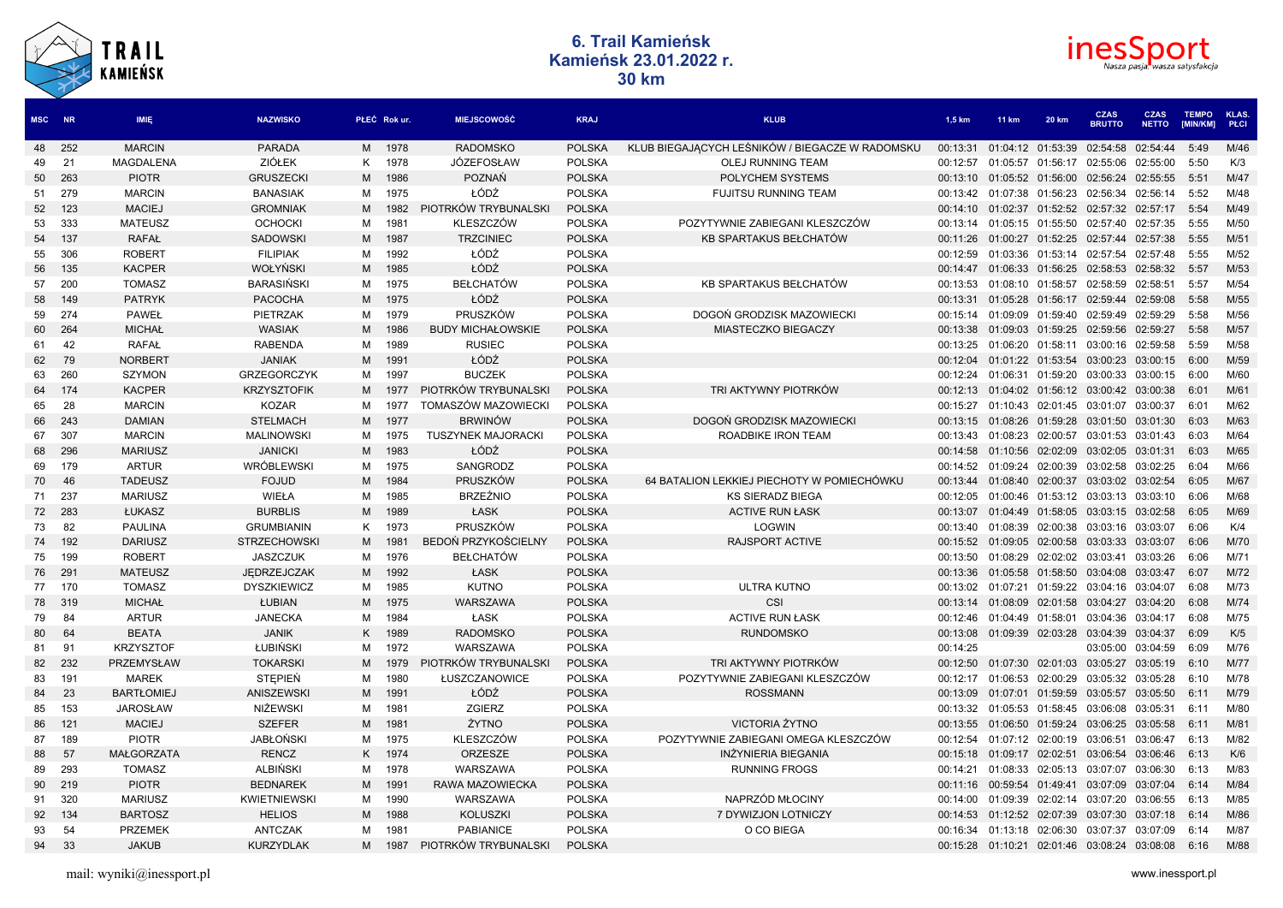



| MSC NR   |          | <b>IMIE</b>                  | <b>NAZWISKO</b>                 |        | PŁEĆ Rokur.      | <b>MIEJSCOWOŚĆ</b>         | <b>KRAJ</b>                    | <b>KLUB</b>                                     | 1.5 km               | <b>11 km</b>      | <b>20 km</b>      | <b>CZAS</b><br><b>BRUTTO</b>        | <b>CZAS</b><br><b>NETTO</b> | <b>TEMPO</b><br>[MIN/KM] | KLAS.<br><b>PLCI</b> |
|----------|----------|------------------------------|---------------------------------|--------|------------------|----------------------------|--------------------------------|-------------------------------------------------|----------------------|-------------------|-------------------|-------------------------------------|-----------------------------|--------------------------|----------------------|
| 48       | 252      | <b>MARCIN</b>                | <b>PARADA</b>                   | M      | 1978             | <b>RADOMSKO</b>            | <b>POLSKA</b>                  | KLUB BIEGAJĄCYCH LEŚNIKÓW / BIEGACZE W RADOMSKU | 00:13:31             |                   | 01:04:12 01:53:39 | 02:54:58                            | 02:54:44                    | 5:49                     | M/46                 |
| 49       | 21       | <b>MAGDALENA</b>             | <b>ZIÓŁEK</b>                   | K      | 1978             | JÓZEFOSŁAW                 | <b>POLSKA</b>                  | OLEJ RUNNING TEAM                               | 00:12:57             |                   | 01:05:57 01:56:17 | 02:55:06                            | 02:55:00                    | 5:50                     | K/3                  |
| 50       | 263      | <b>PIOTR</b>                 | <b>GRUSZECKI</b>                | М      | 1986             | <b>POZNAŃ</b>              | <b>POLSKA</b>                  | POLYCHEM SYSTEMS                                | 00:13:10             |                   | 01:05:52 01:56:00 | 02:56:24                            | 02:55:55                    | 5:51                     | M/47                 |
| 51       | 279      | <b>MARCIN</b>                | <b>BANASIAK</b>                 | м      | 1975             | ŁÓDŹ                       | <b>POLSKA</b>                  | <b>FUJITSU RUNNING TEAM</b>                     | 00:13:42             |                   | 01:07:38 01:56:23 | 02:56:34                            | 02:56:14                    | 5:52                     | M/48                 |
| 52       | 123      | <b>MACIEJ</b>                | <b>GROMNIAK</b>                 | М      | 1982             | PIOTRKÓW TRYBUNALSKI       | <b>POLSKA</b>                  |                                                 | 00:14:10             |                   | 01:02:37 01:52:52 | 02:57:32 02:57:17                   |                             | 5:54                     | M/49                 |
| 53       | 333      | <b>MATEUSZ</b>               | <b>OCHOCKI</b>                  | м      | 1981             | KLESZCZÓW                  | <b>POLSKA</b>                  | POZYTYWNIE ZABIEGANI KLESZCZÓW                  | 00:13:14             | 01:05:15          | 01:55:50          | 02:57:40                            | 02:57:35                    | 5:55                     | M/50                 |
| 54       | 137      | <b>RAFAŁ</b>                 | <b>SADOWSKI</b>                 | М      | 1987             | <b>TRZCINIEC</b>           | <b>POLSKA</b>                  | KB SPARTAKUS BEŁCHATÓW                          | 00:11:26             |                   | 01:00:27 01:52:25 | 02:57:44                            | 02:57:38                    | 5:55                     | M/51                 |
| 55       | 306      | <b>ROBERT</b>                | <b>FILIPIAK</b>                 | м      | 1992             | ŁÓDŹ                       | <b>POLSKA</b>                  |                                                 | 00:12:59             | 01:03:36          | 01:53:14          | 02:57:54                            | 02:57:48                    | 5:55                     | M/52                 |
| 56       | 135      | <b>KACPER</b>                | <b>WOŁYŃSKI</b>                 | М      | 1985             | ŁÓDŹ                       | <b>POLSKA</b>                  |                                                 | 00:14:47             | 01:06:33          | 01:56:25          | 02:58:53                            | 02:58:32                    | 5:57                     | M/53                 |
| 57       | 200      | <b>TOMASZ</b>                | <b>BARASINSKI</b>               | м      | 1975             | <b>BEŁCHATÓW</b>           | <b>POLSKA</b>                  | KB SPARTAKUS BEŁCHATÓW                          | 00:13:53             | 01:08:10          | 01:58:57          | 02:58:59                            | 02:58:51                    | 5:57                     | M/54                 |
| 58       | 149      | <b>PATRYK</b>                | <b>PACOCHA</b>                  | M      | 1975             | ŁÓDŹ                       | <b>POLSKA</b>                  |                                                 | 00:13:31             | 01:05:28          | 01:56:17          | 02:59:44                            | 02:59:08                    | 5:58                     | M/55                 |
| 59       | 274      | <b>PAWEŁ</b>                 | PIETRZAK                        | м      | 1979             | PRUSZKÓW                   | <b>POLSKA</b>                  | DOGOŃ GRODZISK MAZOWIECKI                       | 00:15:14             | 01:09:09          | 01:59:40          | 02:59:49                            | 02:59:29                    | 5:58                     | M/56                 |
| 60       | 264      | <b>MICHAŁ</b>                | <b>WASIAK</b>                   | М      | 1986             | <b>BUDY MICHAŁOWSKIE</b>   | <b>POLSKA</b>                  | <b>MIASTECZKO BIEGACZY</b>                      | 00:13:38             | 01:09:03          | 01:59:25          | 02:59:56                            | 02:59:27                    | 5:58                     | M/57                 |
| 61       | 42       | <b>RAFAŁ</b>                 | <b>RABENDA</b>                  | м      | 1989             | <b>RUSIEC</b>              | <b>POLSKA</b>                  |                                                 | 00:13:25             | 01:06:20          | 01:58:11          | 03:00:16                            | 02:59:58                    | 5:59                     | M/58                 |
| 62       | 79       | <b>NORBERT</b>               | <b>JANIAK</b>                   | M      | 1991             | ŁÓDŹ                       | <b>POLSKA</b>                  |                                                 | 00:12:04             |                   | 01:01:22 01:53:54 | 03:00:23                            | 03:00:15                    | 6:00                     | M/59                 |
| 63       | 260      | <b>SZYMON</b>                | <b>GRZEGORCZYK</b>              | м      | 1997             | <b>BUCZEK</b>              | <b>POLSKA</b>                  |                                                 | 00:12:24             | 01:06:31          | 01:59:20          | 03:00:33                            | 03:00:15                    | 6:00                     | M/60                 |
| 64       | 174      | <b>KACPER</b>                | <b>KRZYSZTOFIK</b>              | М      | 1977             | PIOTRKÓW TRYBUNALSKI       | <b>POLSKA</b>                  | TRI AKTYWNY PIOTRKÓW                            | 00:12:13             |                   | 01:04:02 01:56:12 | 03:00:42                            | 03:00:38                    | 6:01                     | M/61                 |
| 65       | 28       | <b>MARCIN</b>                | <b>KOZAR</b>                    | м      | 1977             | TOMASZÓW MAZOWIECKI        | <b>POLSKA</b>                  |                                                 | 00:15:27             | 01:10:43          | 02:01:45          | 03:01:07                            | 03:00:37                    | 6:01                     | M/62                 |
| 66       | 243      | <b>DAMIAN</b>                | <b>STELMACH</b>                 | М      | 1977             | <b>BRWINÓW</b>             | <b>POLSKA</b>                  | DOGOŃ GRODZISK MAZOWIECKI                       | 00:13:15             | 01:08:26          | 01:59:28          | 03:01:50                            | 03:01:30                    | 6:03                     | M/63                 |
| 67       | 307      | <b>MARCIN</b>                | <b>MALINOWSKI</b>               | м      | 1975             | <b>TUSZYNEK MAJORACKI</b>  | <b>POLSKA</b>                  | ROADBIKE IRON TEAM                              | 00:13:43             | 01:08:23          | 02:00:57          | 03:01:53                            | 03:01:43                    | 6:03                     | M/64                 |
| 68       | 296      | <b>MARIUSZ</b>               | <b>JANICKI</b>                  | М      | 1983             | ŁÓDŹ                       | <b>POLSKA</b>                  |                                                 | 00:14:58             | 01:10:56          | 02:02:09          | 03:02:05                            | 03:01:31                    | 6:03                     | M/65                 |
| 69       | 179      | <b>ARTUR</b>                 | <b>WRÓBLEWSKI</b>               | м      | 1975             | SANGRODZ                   | <b>POLSKA</b>                  |                                                 | 00:14:52             | 01:09:24          | 02:00:39          | 03:02:58                            | 03:02:25                    | 6:04                     | M/66                 |
| 70       | 46       | <b>TADEUSZ</b>               | <b>FOJUD</b>                    | М      | 1984             | PRUSZKÓW                   | <b>POLSKA</b>                  | 64 BATALION LEKKIEJ PIECHOTY W POMIECHÓWKU      | 00:13:44             | 01:08:40          | 02:00:37          | 03:03:02 03:02:54                   |                             | 6:05                     | M/67                 |
| 71       | 237      | <b>MARIUSZ</b>               | <b>WIEŁA</b>                    | м      | 1985             | <b>BRZEŹNIO</b>            | <b>POLSKA</b>                  | <b>KS SIERADZ BIEGA</b>                         | 00:12:05             | 01:00:46          | 01:53:12          | 03:03:13                            | 03:03:10                    | 6:06                     | M/68                 |
| 72       | 283      | ŁUKASZ                       | <b>BURBLIS</b>                  | М      | 1989             | ŁASK                       | <b>POLSKA</b>                  | <b>ACTIVE RUN ŁASK</b>                          | 00:13:07             |                   | 01:04:49 01:58:05 | 03:03:15 03:02:58                   |                             | 6:05                     | M/69                 |
| 73       | 82       | <b>PAULINA</b>               | <b>GRUMBIANIN</b>               | K      | 1973             | PRUSZKÓW                   | <b>POLSKA</b>                  | <b>LOGWIN</b>                                   | 00:13:40             | 01:08:39          | 02:00:38          | 03:03:16                            | 03:03:07                    | 6:06                     | K/4                  |
| 74       | 192      | <b>DARIUSZ</b>               | <b>STRZECHOWSKI</b>             | M      | 198 <sup>1</sup> | <b>BEDOŃ PRZYKOŚCIELNY</b> | <b>POLSKA</b>                  | <b>RAJSPORT ACTIVE</b>                          | 00:15:52             |                   | 01:09:05 02:00:58 | 03:03:33 03:03:07                   |                             | 6:06                     | M/70                 |
| 75       | 199      | <b>ROBERT</b>                | <b>JASZCZUK</b>                 | м      | 1976             | <b>BEŁCHATÓW</b>           | <b>POLSKA</b>                  |                                                 | 00:13:50             | 01:08:29          | 02:02:02          | 03:03:41                            | 03:03:26                    | 6:06                     | M/71                 |
| 76       | 291      | <b>MATEUSZ</b>               | <b>JEDRZEJCZAK</b>              | М      | 1992             | ŁASK                       | <b>POLSKA</b>                  |                                                 | 00:13:36             |                   | 01:05:58 01:58:50 | 03:04:08                            | 03:03:47                    | 6:07                     | M/72                 |
| 77       | 170      | <b>TOMASZ</b>                | <b>DYSZKIEWICZ</b>              | м      | 1985             | <b>KUTNO</b>               | <b>POLSKA</b>                  | <b>ULTRA KUTNO</b>                              | 00:13:02             | 01:07:21          | 01:59:22          | 03:04:16                            | 03:04:07                    | 6:08                     | M/73                 |
| 78       | 319      | <b>MICHAŁ</b>                | ŁUBIAN                          | M      | 1975             | WARSZAWA                   | <b>POLSKA</b>                  | CSI                                             | 00:13:14             |                   | 01:08:09 02:01:58 | 03:04:27 03:04:20                   |                             | 6:08<br>6:08             | M/74                 |
| 79       | -84      | <b>ARTUR</b><br><b>BEATA</b> | <b>JANECKA</b>                  | м      | 1984             | ŁASK<br><b>RADOMSKO</b>    | <b>POLSKA</b>                  | <b>ACTIVE RUN ŁASK</b>                          | 00:12:46             |                   | 01:04:49 01:58:01 | 03:04:36                            | 03:04:17                    |                          | M/75                 |
| 80<br>81 | 64<br>91 | <b>KRZYSZTOF</b>             | <b>JANIK</b><br><b>ŁUBIŃSKI</b> | K<br>м | 1989<br>1972     | <b>WARSZAWA</b>            | <b>POLSKA</b><br><b>POLSKA</b> | <b>RUNDOMSKO</b>                                | 00:13:08<br>00:14:25 |                   | 01:09:39 02:03:28 | 03:04:39 03:04:37<br>03:05:00       | 03:04:59                    | 6:09<br>6:09             | K/5<br>M/76          |
| 82       | 232      | PRZEMYSŁAW                   | <b>TOKARSKI</b>                 | М      | 1979             | PIOTRKÓW TRYBUNALSKI       | <b>POLSKA</b>                  | TRI AKTYWNY PIOTRKÓW                            | 00:12:50             |                   |                   | 01:07:30 02:01:03 03:05:27 03:05:19 |                             | 6:10                     | M/77                 |
| 83       | 191      | <b>MAREK</b>                 | STEPIEŃ                         | м      | 1980             | ŁUSZCZANOWICE              | <b>POLSKA</b>                  | POZYTYWNIE ZABIEGANI KLESZCZÓW                  | 00:12:17             |                   | 01:06:53 02:00:29 | 03:05:32 03:05:28                   |                             | 6:10                     | M/78                 |
| 84       | 23       | <b>BARTŁOMIEJ</b>            | <b>ANISZEWSKI</b>               | М      | 1991             | ŁÓDŹ                       | <b>POLSKA</b>                  | <b>ROSSMANN</b>                                 | 00:13:09             |                   | 01:07:01 01:59:59 | 03:05:57 03:05:50                   |                             | 6:11                     | M/79                 |
| 85       | 153      | <b>JAROSŁAW</b>              | <b>NIŻEWSKI</b>                 | М      | 1981             | ZGIERZ                     | <b>POLSKA</b>                  |                                                 | 00:13:32             | 01:05:53          | 01:58:45          | 03:06:08                            | 03:05:31                    | 6:11                     | M/80                 |
| 86       | 121      | <b>MACIEJ</b>                | <b>SZEFER</b>                   | М      | 1981             | ŻYTNO                      | <b>POLSKA</b>                  | <b>VICTORIA ŻYTNO</b>                           | 00:13:55             |                   | 01:06:50 01:59:24 | 03:06:25 03:05:58                   |                             | 6:11                     | M/81                 |
| 87       | 189      | <b>PIOTR</b>                 | <b>JABŁOŃSKI</b>                | м      | 1975             | <b>KLESZCZÓW</b>           | <b>POLSKA</b>                  | POZYTYWNIE ZABIEGANI OMEGA KLESZCZÓW            | 00:12:54             |                   | 01:07:12 02:00:19 | 03:06:51                            | 03:06:47                    | 6:13                     | M/82                 |
| 88       | 57       | MAŁGORZATA                   | <b>RENCZ</b>                    | K      | 1974             | ORZESZE                    | <b>POLSKA</b>                  | <b>INŻYNIERIA BIEGANIA</b>                      | 00:15:18             | 01:09:17 02:02:51 |                   | 03:06:54                            | 03:06:46                    | 6:13                     | K/6                  |
| 89       | 293      | <b>TOMASZ</b>                | <b>ALBIŃSKI</b>                 | м      | 1978             | WARSZAWA                   | <b>POLSKA</b>                  | <b>RUNNING FROGS</b>                            | 00:14:21             | 01:08:33          | 02:05:13          | 03:07:07                            | 03:06:30                    | 6:13                     | M/83                 |
| 90       | 219      | <b>PIOTR</b>                 | <b>BEDNAREK</b>                 | M      | 199 <sup>°</sup> | RAWA MAZOWIECKA            | <b>POLSKA</b>                  |                                                 | 00:11:16             |                   | 00:59:54 01:49:41 | 03:07:09                            | 03:07:04                    | 6:14                     | M/84                 |
| 91       | 320      | <b>MARIUSZ</b>               | <b>KWIETNIEWSKI</b>             | м      | 1990             | WARSZAWA                   | <b>POLSKA</b>                  | NAPRZÓD MŁOCINY                                 | 00:14:00             | 01:09:39          | 02:02:14          | 03:07:20                            | 03:06:55                    | 6:13                     | M/85                 |
| 92       | 134      | <b>BARTOSZ</b>               | <b>HELIOS</b>                   | М      | 1988             | <b>KOLUSZKI</b>            | <b>POLSKA</b>                  | 7 DYWIZJON LOTNICZY                             | 00:14:53             | 01:12:52          | 02:07:39          | 03:07:30                            | 03:07:18                    | 6:14                     | M/86                 |
| 93       | 54       | <b>PRZEMEK</b>               | <b>ANTCZAK</b>                  | м      | 1981             | <b>PABIANICE</b>           | <b>POLSKA</b>                  | O CO BIEGA                                      | 00:16:34             | 01:13:18          | 02:06:30          | 03:07:37                            | 03:07:09                    | 6:14                     | M/87                 |
| 94       | 33       | <b>JAKUB</b>                 | <b>KURZYDLAK</b>                | M      | 1987             | PIOTRKÓW TRYBUNALSKI       | <b>POLSKA</b>                  |                                                 | 00:15:28             | 01:10:21          | 02:01:46          | 03:08:24 03:08:08                   |                             | 6:16                     | M/88                 |
|          |          |                              |                                 |        |                  |                            |                                |                                                 |                      |                   |                   |                                     |                             |                          |                      |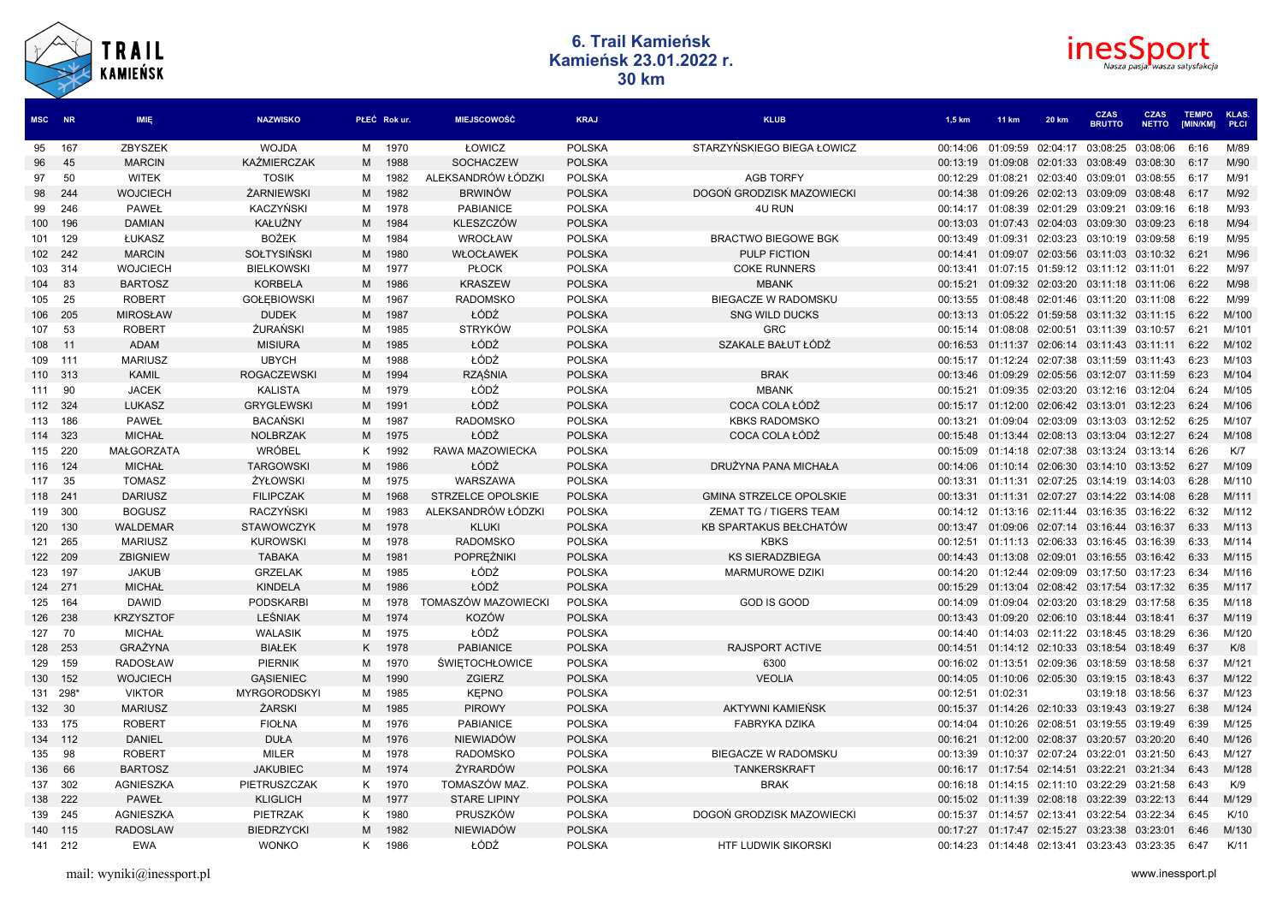



| MSC NR   |         | <b>IMIE</b>       | <b>NAZWISKO</b>     |   | PŁEĆ Rokur. | <b>MIEJSCOWOŚĆ</b>       | <b>KRAJ</b>   | <b>KLUB</b>                    | 1.5 km   | <b>11 km</b>                 | <b>20 km</b> | <b>CZAS</b><br><b>BRUTTO</b> | <b>CZAS</b><br><b>NETTO</b> | <b>TEMPO</b><br>[MIN/KM] | KLAS.<br>PŁCI |
|----------|---------|-------------------|---------------------|---|-------------|--------------------------|---------------|--------------------------------|----------|------------------------------|--------------|------------------------------|-----------------------------|--------------------------|---------------|
| 95       | 167     | ZBYSZEK           | <b>WOJDA</b>        | M | 1970        | ŁOWICZ                   | <b>POLSKA</b> | STARZYŃSKIEGO BIEGA ŁOWICZ     | 00:14:06 | 01:09:59                     | 02:04:17     | 03:08:25                     | 03:08:06                    | 6:16                     | M/89          |
| 96       | 45      | <b>MARCIN</b>     | <b>KAŻMIERCZAK</b>  | M | 1988        | <b>SOCHACZEW</b>         | <b>POLSKA</b> |                                | 00:13:19 | 01:09:08                     | 02:01:33     | 03:08:49                     | 03:08:30                    | 6:17                     | M/90          |
| 97       | 50      | <b>WITEK</b>      | <b>TOSIK</b>        | M | 1982        | ALEKSANDRÓW ŁÓDZKI       | <b>POLSKA</b> | <b>AGB TORFY</b>               | 00:12:29 | 01:08:21                     | 02:03:40     | 03:09:01                     | 03:08:55                    | 6:17                     | M/91          |
| 98       | 244     | <b>WOJCIECH</b>   | <b>ŻARNIEWSKI</b>   | M | 1982        | <b>BRWINÓW</b>           | <b>POLSKA</b> | DOGOŃ GRODZISK MAZOWIECKI      | 00:14:38 | 01:09:26                     | 02:02:13     | 03:09:09                     | 03:08:48                    | 6:17                     | M/92          |
| 99       | 246     | <b>PAWEŁ</b>      | <b>KACZYŃSKI</b>    | м | 1978        | <b>PABIANICE</b>         | <b>POLSKA</b> | <b>4U RUN</b>                  | 00:14:17 | 01:08:39                     | 02:01:29     | 03:09:21                     | 03:09:16                    | 6:18                     | M/93          |
| 100      | 196     | <b>DAMIAN</b>     | KAŁUŻNY             | M | 1984        | <b>KLESZCZÓW</b>         | <b>POLSKA</b> |                                | 00:13:03 | 01:07:43                     | 02:04:03     | 03:09:30                     | 03:09:23                    | 6:18                     | M/94          |
| 101 129  |         | ŁUKASZ            | <b>BOŻEK</b>        | м | 1984        | <b>WROCŁAW</b>           | <b>POLSKA</b> | <b>BRACTWO BIEGOWE BGK</b>     | 00:13:49 | 01:09:31                     | 02:03:23     | 03:10:19                     | 03:09:58                    | 6:19                     | M/95          |
| 102 242  |         | <b>MARCIN</b>     | <b>SOŁTYSIŃSK</b>   | M | 1980        | WŁOCŁAWEK                | <b>POLSKA</b> | <b>PULP FICTION</b>            | 00:14:41 | 01:09:07                     | 02:03:56     | 03:11:03                     | 03:10:32                    | 6:21                     | M/96          |
| 103      | - 314   | <b>WOJCIECH</b>   | <b>BIELKOWSKI</b>   | м | 1977        | <b>PLOCK</b>             | <b>POLSKA</b> | <b>COKE RUNNERS</b>            | 00:13:41 | 01:07:15                     | 01:59:12     | 03:11:12 03:11:01            |                             | 6:22                     | M/97          |
| 104      | 83      | <b>BARTOSZ</b>    | <b>KORBELA</b>      | M | 1986        | <b>KRASZEW</b>           | <b>POLSKA</b> | <b>MBANK</b>                   | 00:15:21 | 01:09:32                     | 02:03:20     | 03:11:18                     | 03:11:06                    | 6:22                     | M/98          |
| 105      | 25      | <b>ROBERT</b>     | <b>GOŁĘBIOWSKI</b>  | M | 1967        | <b>RADOMSKO</b>          | <b>POLSKA</b> | <b>BIEGACZE W RADOMSKU</b>     | 00:13:55 | 01:08:48 02:01:46            |              | 03:11:20                     | 03:11:08                    | 6:22                     | M/99          |
| 106      | 205     | <b>MIROSŁAW</b>   | <b>DUDEK</b>        | M | 1987        | ŁÓDŹ                     | <b>POLSKA</b> | <b>SNG WILD DUCKS</b>          | 00:13:13 | 01:05:22                     | 01:59:58     | 03:11:32                     | 03:11:15                    | 6:22                     | M/100         |
| 107      | - 53    | <b>ROBERT</b>     | <b>ŻURAŃSKI</b>     | м | 1985        | <b>STRYKÓW</b>           | <b>POLSKA</b> | <b>GRC</b>                     | 00:15:14 | 01:08:08                     | 02:00:51     | 03:11:39                     | 03:10:57                    | 6:21                     | M/101         |
| 108      | 11      | <b>ADAM</b>       | <b>MISIURA</b>      | M | 1985        | ŁÓDŹ                     | <b>POLSKA</b> | SZAKALE BAŁUT ŁÓDŹ             | 00:16:53 | 01:11:37                     | 02:06:14     | 03:11:43                     | 03:11:11                    | 6:22                     | M/102         |
| 109 111  |         | <b>MARIUSZ</b>    | <b>UBYCH</b>        | м | 1988        | ŁÓDŹ                     | <b>POLSKA</b> |                                | 00:15:17 | 01:12:24                     | 02:07:38     | 03:11:59 03:11:43            |                             | 6:23                     | M/103         |
| 110 313  |         | <b>KAMIL</b>      | <b>ROGACZEWSKI</b>  | M | 1994        | <b>RZAŚNIA</b>           | <b>POLSKA</b> | <b>BRAK</b>                    | 00:13:46 | 01:09:29                     | 02:05:56     | 03:12:07                     | 03:11:59                    | 6:23                     | M/104         |
| 111      | 90      | <b>JACEK</b>      | <b>KALISTA</b>      | м | 1979        | ŁÓDŹ                     | <b>POLSKA</b> | <b>MBANK</b>                   | 00:15:21 | 01:09:35                     | 02:03:20     | 03:12:16 03:12:04            |                             | 6:24                     | M/105         |
| 112 324  |         | <b>LUKASZ</b>     | <b>GRYGLEWSKI</b>   | M | 1991        | ŁÓDŹ                     | <b>POLSKA</b> | COCA COLA ŁÓDŹ                 | 00:15:17 | 01:12:00                     | 02:06:42     | 03:13:01                     | 03:12:23                    | 6:24                     | M/106         |
| 113 186  |         | <b>PAWEŁ</b>      | <b>BACANSKI</b>     | м | 1987        | <b>RADOMSKO</b>          | <b>POLSKA</b> | <b>KBKS RADOMSKO</b>           | 00:13:21 | 01:09:04                     | 02:03:09     | 03:13:03 03:12:52            |                             | 6:25                     | M/107         |
| 114 323  |         | <b>MICHAŁ</b>     | <b>NOLBRZAK</b>     | M | 1975        | ŁÓDŹ                     | <b>POLSKA</b> | COCA COLA ŁÓDŹ                 | 00:15:48 | 01:13:44                     | 02:08:13     | 03:13:04                     | 03:12:27                    | 6:24                     | M/108         |
| 115 220  |         | <b>MAŁGORZATA</b> | <b>WRÓBEL</b>       | K | 1992        | RAWA MAZOWIECKA          | <b>POLSKA</b> |                                | 00:15:09 | 01:14:18 02:07:38            |              | 03:13:24 03:13:14            |                             | 6:26                     | K/7           |
| 116      | 124     | <b>MICHAŁ</b>     | <b>TARGOWSKI</b>    | M | 1986        | ŁÓDŹ                     | <b>POLSKA</b> | DRUŻYNA PANA MICHAŁA           | 00:14:06 | 01:10:14                     | 02:06:30     | 03:14:10                     | 03:13:52                    | 6:27                     | M/109         |
| 117      | - 35    | <b>TOMASZ</b>     | ŻYŁOWSKI            | M | 1975        | WARSZAWA                 | <b>POLSKA</b> |                                | 00:13:31 | 01:11:31                     | 02:07:25     | 03:14:19                     | 03:14:03                    | 6:28                     | M/110         |
| 118 241  |         | <b>DARIUSZ</b>    | <b>FILIPCZAK</b>    | M | 1968        | <b>STRZELCE OPOLSKIE</b> | <b>POLSKA</b> | <b>GMINA STRZELCE OPOLSKIE</b> | 00:13:31 | 01:11:31                     | 02:07:27     | 03:14:22                     | 03:14:08                    | 6:28                     | M/111         |
| 119      | 300     | <b>BOGUSZ</b>     | RACZYŃSKI           | M | 1983        | ALEKSANDRÓW ŁÓDZKI       | <b>POLSKA</b> | ZEMAT TG / TIGERS TEAM         | 00:14:12 | 01:13:16                     | 02:11:44     | 03:16:35                     | 03:16:22                    | 6:32                     | M/112         |
| 120      | 130     | <b>WALDEMAR</b>   | <b>STAWOWCZYK</b>   | M | 1978        | <b>KLUKI</b>             | <b>POLSKA</b> | KB SPARTAKUS BEŁCHATÓW         | 00:13:47 | 01:09:06                     | 02:07:14     | 03:16:44                     | 03:16:37                    | 6:33                     | M/113         |
| 121 265  |         | <b>MARIUSZ</b>    | <b>KUROWSKI</b>     | м | 1978        | <b>RADOMSKO</b>          | <b>POLSKA</b> | <b>KBKS</b>                    | 00:12:51 | 01:11:13                     | 02:06:33     | 03:16:45                     | 03:16:39                    | 6:33                     | M/114         |
|          | 122 209 | <b>ZBIGNIEW</b>   | <b>TABAKA</b>       | M | 1981        | <b>POPREŻNIKI</b>        | <b>POLSKA</b> | <b>KS SIERADZBIEGA</b>         | 00:14:43 | 01:13:08                     | 02:09:01     | 03:16:55                     | 03:16:42                    | 6:33                     | M/115         |
| 123      | 197     | <b>JAKUB</b>      | <b>GRZELAK</b>      | M | 1985        | ŁÓDŹ                     | <b>POLSKA</b> | <b>MARMUROWE DZIKI</b>         | 00:14:20 | 01:12:44                     | 02:09:09     | 03:17:50                     | 03:17:23                    | 6:34                     | M/116         |
| 124 271  |         | <b>MICHAŁ</b>     | <b>KINDELA</b>      | M | 1986        | ŁÓDŹ                     | <b>POLSKA</b> |                                | 00:15:29 | 01:13:04                     | 02:08:42     | 03:17:54                     | 03:17:32                    | 6:35                     | M/117         |
| 125      | - 164   | <b>DAWID</b>      | <b>PODSKARBI</b>    | M | 1978        | TOMASZÓW MAZOWIECKI      | <b>POLSKA</b> | <b>GOD IS GOOD</b>             | 00:14:09 | 01:09:04                     | 02:03:20     | 03:18:29 03:17:58            |                             | 6:35                     | M/118         |
| 126 238  |         | <b>KRZYSZTOF</b>  | <b>LEŚNIAK</b>      | M | 1974        | <b>KOZÓW</b>             | <b>POLSKA</b> |                                | 00:13:43 | 01:09:20                     | 02:06:10     | 03:18:44 03:18:41            |                             | 6:37                     | M/119         |
| 127 70   |         | <b>MICHAŁ</b>     | <b>WALASIK</b>      | M | 1975        | ŁÓDŹ                     | <b>POLSKA</b> |                                | 00:14:40 | 01:14:03                     | 02:11:22     | 03:18:45 03:18:29            |                             | 6:36                     | M/120         |
| 128      | 253     | <b>GRAŻYNA</b>    | <b>BIAŁEK</b>       | K | 1978        | <b>PABIANICE</b>         | <b>POLSKA</b> | <b>RAJSPORT ACTIVE</b>         | 00:14:51 | 01:14:12                     | 02:10:33     | 03:18:54                     | 03:18:49                    | 6:37                     | K/8           |
| 129 159  |         | <b>RADOSŁAW</b>   | PIERNIK             | M | 1970        | <b>SWIETOCHŁOWICE</b>    | <b>POLSKA</b> | 6300                           | 00:16:02 | 01:13:51 02:09:36            |              | 03:18:59                     | 03:18:58                    | 6:37                     | M/121         |
|          | 130 152 | <b>WOJCIECH</b>   | <b>GASIENIEC</b>    | M | 1990        | <b>ZGIERZ</b>            | <b>POLSKA</b> | <b>VEOLIA</b>                  | 00:14:05 | 01:10:06                     | 02:05:30     | 03:19:15 03:18:43            |                             | 6:37                     | M/122         |
| 131 298* |         | <b>VIKTOR</b>     | <b>MYRGORODSKYI</b> | M | 1985        | <b>KEPNO</b>             | <b>POLSKA</b> |                                | 00:12:51 | 01:02:31                     |              |                              | 03:19:18 03:18:56           | 6:37                     | M/123         |
| 132      | 30      | <b>MARIUSZ</b>    | <b>ŻARSKI</b>       | M | 1985        | <b>PIROWY</b>            | <b>POLSKA</b> | AKTYWNI KAMIEŃSK               | 00:15:37 | 01:14:26                     | 02:10:33     | 03:19:43 03:19:27            |                             | 6:38                     | M/124         |
|          | 133 175 | <b>ROBERT</b>     | <b>FIOLNA</b>       | M | 1976        | <b>PABIANICE</b>         | <b>POLSKA</b> | <b>FABRYKA DZIKA</b>           | 00:14:04 | 01:10:26 02:08:51            |              | 03:19:55 03:19:49            |                             | 6:39                     | M/125         |
| 134 112  |         | <b>DANIEL</b>     | <b>DUŁA</b>         | M | 1976        | <b>NIEWIADÓW</b>         | <b>POLSKA</b> |                                | 00:16:21 | 01:12:00                     | 02:08:37     | 03:20:57 03:20:20            |                             | 6:40                     | M/126         |
| 135      | 98      | <b>ROBERT</b>     | <b>MILER</b>        | M | 1978        | <b>RADOMSKO</b>          | <b>POLSKA</b> | <b>BIEGACZE W RADOMSKU</b>     | 00:13:39 | 01:10:37                     | 02:07:24     | 03:22:01 03:21:50            |                             | 6:43                     | M/127         |
| 136      | 66      | <b>BARTOSZ</b>    | <b>JAKUBIEC</b>     | M | 1974        | ŻYRARDÓW                 | <b>POLSKA</b> | <b>TANKERSKRAFT</b>            | 00:16:17 | 01:17:54 02:14:51            |              | 03:22:21 03:21:34            |                             | 6:43                     | M/128         |
| 137      | 302     | AGNIESZKA         | PIETRUSZCZAK        |   | K 1970      | TOMASZÓW MAZ.            | <b>POLSKA</b> | <b>BRAK</b>                    | 00:16:18 | 01:14:15 02:11:10            |              | 03:22:29 03:21:58            |                             | 6:43                     | K/9           |
| 138 222  |         | <b>PAWEŁ</b>      | <b>KLIGLICH</b>     | M | 1977        | <b>STARE LIPINY</b>      | <b>POLSKA</b> |                                | 00:15:02 | 01:11:39 02:08:18            |              | 03:22:39 03:22:13            |                             | 6:44                     | M/129         |
|          | 139 245 | <b>AGNIESZKA</b>  | PIETRZAK            | K | 1980        | PRUSZKÓW                 | <b>POLSKA</b> | DOGOŃ GRODZISK MAZOWIECKI      | 00:15:37 | 01:14:57                     | 02:13:41     | 03:22:54 03:22:34            |                             | 6:45                     | K/10          |
| 140 115  |         | <b>RADOSLAW</b>   | <b>BIEDRZYCKI</b>   | M | 1982        | <b>NIEWIADÓW</b>         | <b>POLSKA</b> |                                | 00:17:27 | 01:17:47                     | 02:15:27     | 03:23:38 03:23:01            |                             | 6:46                     | M/130         |
|          | 141 212 | EWA               | <b>WONKO</b>        |   | K 1986      | ŁÓDŹ                     | <b>POLSKA</b> | <b>HTF LUDWIK SIKORSKI</b>     |          | 00:14:23  01:14:48  02:13:41 |              | 03:23:43 03:23:35            |                             | 6:47                     | K/11          |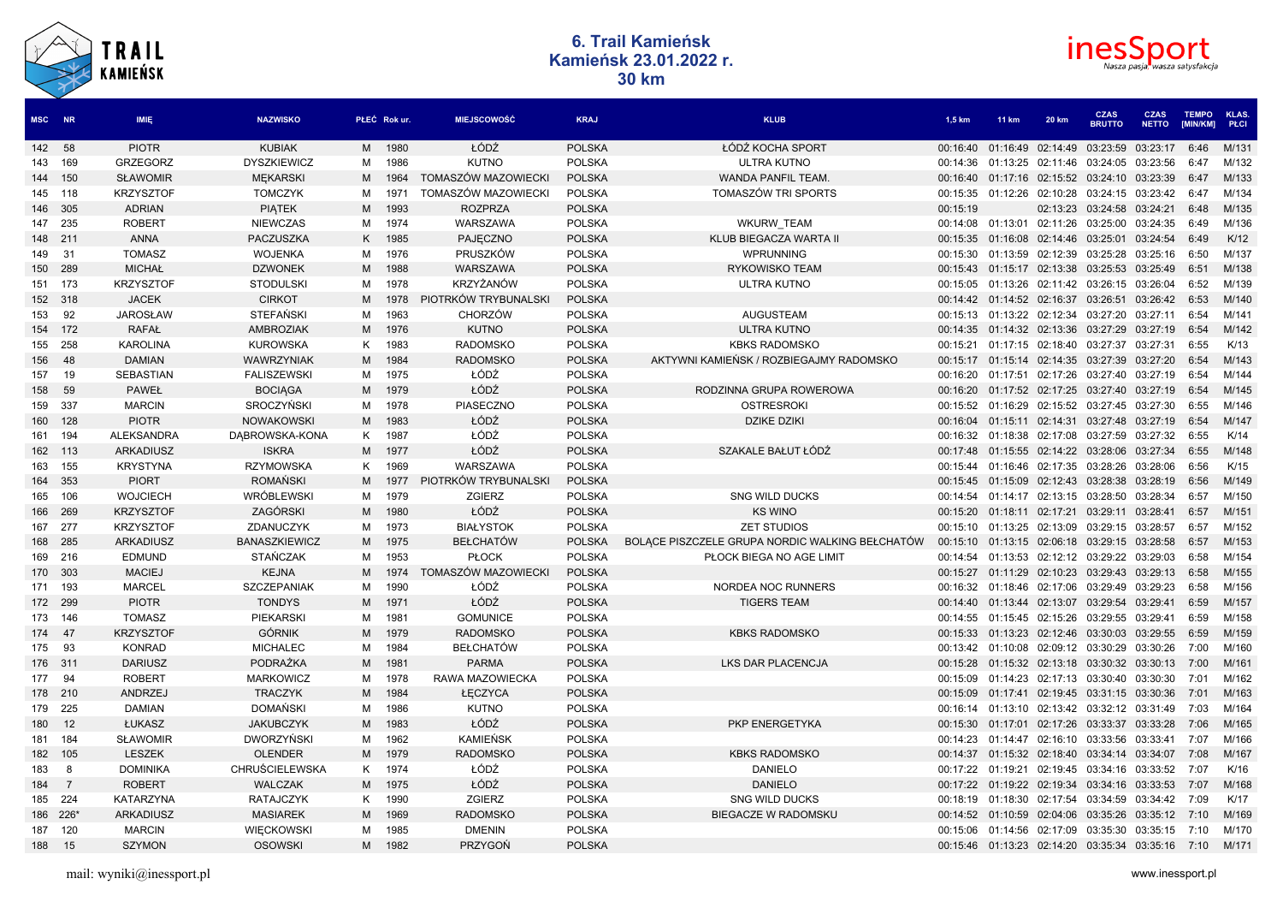



| <b>MSC</b> | <b>NR</b>      | <b>IMIE</b>       | <b>NAZWISKO</b>       |   | PŁEĆ Rokur. | <b>MIEJSCOWOŚĆ</b>   | <b>KRAJ</b>   | <b>KLUB</b>                                     | 1,5 km   | <b>11 km</b>                                           | 20 km             | <b>CZAS</b><br><b>BRUTTO</b> | <b>CZAS</b><br><b>NETTO</b> | <b>TEMPO</b><br><b>IMIN/KM1</b> | KLAS.<br>PŁCI |
|------------|----------------|-------------------|-----------------------|---|-------------|----------------------|---------------|-------------------------------------------------|----------|--------------------------------------------------------|-------------------|------------------------------|-----------------------------|---------------------------------|---------------|
| 142 58     |                | <b>PIOTR</b>      | <b>KUBIAK</b>         |   | M 1980      | ŁÓDŹ                 | <b>POLSKA</b> | ŁÓDŹ KOCHA SPORT                                | 00:16:40 | 01:16:49                                               | 02:14:49          | 03:23:59                     | 03:23:17                    | 6:46                            | M/131         |
| 143 169    |                | <b>GRZEGORZ</b>   | <b>DYSZKIEWICZ</b>    | M | 1986        | <b>KUTNO</b>         | <b>POLSKA</b> | <b>ULTRA KUTNO</b>                              | 00:14:36 | 01:13:25                                               | 02:11:46          | 03:24:05                     | 03:23:56                    | 6:47                            | M/132         |
| 144 150    |                | <b>SŁAWOMIR</b>   | <b>MEKARSKI</b>       | M | 1964        | TOMASZÓW MAZOWIECKI  | <b>POLSKA</b> | WANDA PANFIL TEAM.                              | 00:16:40 | 01:17:16                                               | 02:15:52          | 03:24:10                     | 03:23:39                    | 6:47                            | M/133         |
| 145 118    |                | <b>KRZYSZTOF</b>  | <b>TOMCZYK</b>        | м | 1971        | TOMASZÓW MAZOWIECKI  | <b>POLSKA</b> | TOMASZÓW TRI SPORTS                             | 00:15:35 | 01:12:26                                               | 02:10:28          | 03:24:15                     | 03:23:42                    | 6:47                            | M/134         |
| 146 305    |                | <b>ADRIAN</b>     | <b>PIATEK</b>         | M | 1993        | <b>ROZPRZA</b>       | <b>POLSKA</b> |                                                 | 00:15:19 |                                                        | 02:13:23          | 03:24:58                     | 03:24:21                    | 6:48                            | M/135         |
| 147        | 235            | <b>ROBERT</b>     | <b>NIEWCZAS</b>       | м | 1974        | WARSZAWA             | <b>POLSKA</b> | <b>WKURW TEAM</b>                               | 00:14:08 | 01:13:01                                               | 02:11:26          | 03:25:00                     | 03:24:35                    | 6:49                            | M/136         |
| 148 211    |                | <b>ANNA</b>       | PACZUSZKA             | K | 1985        | PAJECZNO             | <b>POLSKA</b> | KLUB BIEGACZA WARTA II                          | 00:15:35 | 01:16:08                                               | 02:14:46          | 03:25:01                     | 03:24:54                    | 6:49                            | K/12          |
| 149        | 31             | <b>TOMASZ</b>     | <b>WOJENKA</b>        | М | 1976        | PRUSZKÓW             | <b>POLSKA</b> | WPRUNNING                                       | 00:15:30 | 01:13:59                                               | 02:12:39          | 03:25:28                     | 03:25:16                    | 6:50                            | M/137         |
| 150 289    |                | <b>MICHAŁ</b>     | <b>DZWONEK</b>        | M | 1988        | WARSZAWA             | <b>POLSKA</b> | <b>RYKOWISKO TEAM</b>                           | 00:15:43 | 01:15:17                                               | 02:13:38          | 03:25:53                     | 03:25:49                    | 6:51                            | M/138         |
| 151        | 173            | <b>KRZYSZTOF</b>  | <b>STODULSKI</b>      | м | 1978        | <b>KRZYŻANÓW</b>     | <b>POLSKA</b> | ULTRA KUTNO                                     | 00:15:05 | 01:13:26                                               | 02:11:42          | 03:26:15                     | 03:26:04                    | 6:52                            | M/139         |
| 152 318    |                | <b>JACEK</b>      | <b>CIRKOT</b>         | M | 1978        | PIOTRKÓW TRYBUNALSKI | <b>POLSKA</b> |                                                 | 00:14:42 | 01:14:52 02:16:37                                      |                   | 03:26:51                     | 03:26:42                    | 6:53                            | M/140         |
| 153        | 92             | <b>JAROSŁAW</b>   | <b>STEFANSKI</b>      | м | 1963        | <b>CHORZÓW</b>       | <b>POLSKA</b> | <b>AUGUSTEAM</b>                                | 00:15:13 | 01:13:22                                               | 02:12:34          | 03:27:20                     | 03:27:11                    | 6:54                            | M/141         |
| 154 172    |                | <b>RAFAŁ</b>      | <b>AMBROZIAK</b>      | M | 1976        | <b>KUTNO</b>         | <b>POLSKA</b> | <b>ULTRA KUTNO</b>                              | 00:14:35 | 01:14:32                                               | 02:13:36          | 03:27:29                     | 03:27:19                    | 6:54                            | M/142         |
| 155        | 258            | <b>KAROLINA</b>   | <b>KUROWSKA</b>       | К | 1983        | <b>RADOMSKO</b>      | <b>POLSKA</b> | <b>KBKS RADOMSKO</b>                            | 00:15:21 | 01:17:15                                               | 02:18:40          | 03:27:37                     | 03:27:31                    | 6:55                            | K/13          |
| 156        | 48             | <b>DAMIAN</b>     | <b>WAWRZYNIAK</b>     | M | 1984        | <b>RADOMSKO</b>      | <b>POLSKA</b> | AKTYWNI KAMIEŃSK / ROZBIEGAJMY RADOMSKO         | 00:15:17 |                                                        | 01:15:14 02:14:35 | 03:27:39                     | 03:27:20                    | 6:54                            | M/143         |
| 157        | 19             | <b>SEBASTIAN</b>  | <b>FALISZEWSKI</b>    | м | 1975        | ŁÓDŹ                 | <b>POLSKA</b> |                                                 | 00:16:20 | 01:17:51                                               | 02:17:26          | 03:27:40                     | 03:27:19                    | 6:54                            | M/144         |
| 158        | 59             | <b>PAWEŁ</b>      | <b>BOCIAGA</b>        | M | 1979        | ŁÓDŹ                 | <b>POLSKA</b> | RODZINNA GRUPA ROWEROWA                         | 00:16:20 | 01:17:52                                               | 02:17:25          | 03:27:40                     | 03:27:19                    | 6:54                            | M/145         |
| 159        | 337            | <b>MARCIN</b>     | SROCZYŃSKI            | м | 1978        | PIASECZNO            | <b>POLSKA</b> | <b>OSTRESROKI</b>                               | 00:15:52 | 01:16:29                                               | 02:15:52          | 03:27:45                     | 03:27:30                    | 6:55                            | M/146         |
| 160        | 128            | <b>PIOTR</b>      | <b>NOWAKOWSKI</b>     | M | 1983        | ŁÓDŹ                 | <b>POLSKA</b> | <b>DZIKE DZIKI</b>                              | 00:16:04 | 01:15:11                                               | 02:14:31          | 03:27:48                     | 03:27:19                    | 6:54                            | M/147         |
| 161        | 194            | <b>ALEKSANDRA</b> | DABROWSKA-KONA        | К | 1987        | ŁÓDŹ                 | <b>POLSKA</b> |                                                 | 00:16:32 | 01:18:38                                               | 02:17:08          | 03:27:59                     | 03:27:32                    | 6:55                            | K/14          |
| 162 113    |                | <b>ARKADIUSZ</b>  | <b>ISKRA</b>          | M | 1977        | ŁÓDŹ                 | <b>POLSKA</b> | SZAKALE BAŁUT ŁÓDŹ                              | 00:17:48 | 01:15:55                                               | 02:14:22          | 03:28:06                     | 03:27:34                    | 6:55                            | M/148         |
| 163        | 155            | <b>KRYSTYNA</b>   | <b>RZYMOWSKA</b>      | к | 1969        | WARSZAWA             | <b>POLSKA</b> |                                                 | 00:15:44 | 01:16:46                                               | 02:17:35          | 03:28:26                     | 03:28:06                    | 6:56                            | K/15          |
| 164        | 353            | <b>PIORT</b>      | <b>ROMAŃSKI</b>       | M | 1977        | PIOTRKÓW TRYBUNALSKI | <b>POLSKA</b> |                                                 | 00:15:45 | 01:15:09                                               | 02:12:43          | 03:28:38                     | 03:28:19                    | 6:56                            | M/149         |
| 165        | 106            | <b>WOJCIECH</b>   | <b>WRÓBLEWSKI</b>     | м | 1979        | <b>ZGIERZ</b>        | <b>POLSKA</b> | <b>SNG WILD DUCKS</b>                           | 00:14:54 | 01:14:17                                               | 02:13:15          | 03:28:50                     | 03:28:34                    | 6:57                            | M/150         |
| 166 269    |                | <b>KRZYSZTOF</b>  | ZAGÓRSKI              | M | 1980        | ŁÓDŹ                 | <b>POLSKA</b> | <b>KS WINO</b>                                  | 00:15:20 | 01:18:11                                               | 02:17:21          | 03:29:11                     | 03:28:41                    | 6:57                            | M/151         |
| 167        | 277            | <b>KRZYSZTOF</b>  | ZDANUCZYK             | м | 1973        | <b>BIAŁYSTOK</b>     | <b>POLSKA</b> | <b>ZET STUDIOS</b>                              | 00:15:10 | 01:13:25                                               | 02:13:09          | 03:29:15                     | 03:28:57                    | 6:57                            | M/152         |
| 168 285    |                | <b>ARKADIUSZ</b>  | <b>BANASZKIEWICZ</b>  | M | 1975        | <b>BEŁCHATÓW</b>     | <b>POLSKA</b> | BOLACE PISZCZELE GRUPA NORDIC WALKING BEŁCHATÓW | 00:15:10 | 01:13:15                                               | 02:06:18          | 03:29:15                     | 03:28:58                    | 6:57                            | M/153         |
| 169        | 216            | <b>EDMUND</b>     | <b>STAŃCZAK</b>       | M | 1953        | <b>PŁOCK</b>         | <b>POLSKA</b> | PŁOCK BIEGA NO AGE LIMIT                        | 00:14:54 | 01:13:53                                               | 02:12:12          | 03:29:22                     | 03:29:03                    | 6:58                            | M/154         |
| 170 303    |                | <b>MACIEJ</b>     | <b>KEJNA</b>          | M | 1974        | TOMASZÓW MAZOWIECKI  | <b>POLSKA</b> |                                                 | 00:15:27 | 01:11:29                                               | 02:10:23          | 03:29:43                     | 03:29:13                    | 6:58                            | M/155         |
| 171        | 193            | <b>MARCEL</b>     | <b>SZCZEPANIAK</b>    | M | 1990        | ŁÓDŹ                 | <b>POLSKA</b> | NORDEA NOC RUNNERS                              | 00:16:32 | 01:18:46                                               | 02:17:06          | 03:29:49                     | 03:29:23                    | 6:58                            | M/156         |
| 172 299    |                | <b>PIOTR</b>      | <b>TONDYS</b>         | M | 1971        | ŁÓDŹ                 | <b>POLSKA</b> | <b>TIGERS TEAM</b>                              | 00:14:40 | 01:13:44 02:13:07                                      |                   | 03:29:54                     | 03:29:41                    | 6:59                            | M/157         |
| 173        | 146            | <b>TOMASZ</b>     | PIEKARSKI             | м | 1981        | <b>GOMUNICE</b>      | <b>POLSKA</b> |                                                 | 00:14:55 | 01:15:45                                               | 02:15:26          | 03:29:55                     | 03:29:41                    | 6:59                            | M/158         |
| 174        | 47             | <b>KRZYSZTOF</b>  | <b>GÓRNIK</b>         | M | 1979        | <b>RADOMSKO</b>      | <b>POLSKA</b> | <b>KBKS RADOMSKO</b>                            | 00:15:33 | 01:13:23                                               | 02:12:46          | 03:30:03                     | 03:29:55                    | 6:59                            | M/159         |
| 175        | 93             | <b>KONRAD</b>     | <b>MICHALEC</b>       | М | 1984        | <b>BEŁCHATÓW</b>     | <b>POLSKA</b> |                                                 | 00:13:42 | 01:10:08                                               | 02:09:12          | 03:30:29                     | 03:30:26                    | 7:00                            | M/160         |
| 176 311    |                | <b>DARIUSZ</b>    | <b>PODRAŻKA</b>       | M | 1981        | <b>PARMA</b>         | <b>POLSKA</b> | <b>LKS DAR PLACENCJA</b>                        | 00:15:28 |                                                        | 01:15:32 02:13:18 | 03:30:32                     | 03:30:13                    | 7:00                            | M/161         |
| 177        | 94             | <b>ROBERT</b>     | <b>MARKOWICZ</b>      | м | 1978        | RAWA MAZOWIECKA      | <b>POLSKA</b> |                                                 | 00:15:09 | 01:14:23                                               | 02:17:13          | 03:30:40                     | 03:30:30                    | 7:01                            | M/162         |
| 178 210    |                | ANDRZEJ           | <b>TRACZYK</b>        | M | 1984        | ŁECZYCA              | <b>POLSKA</b> |                                                 | 00:15:09 | 01:17:41                                               | 02:19:45          | 03:31:15 03:30:36            |                             | 7:01                            | M/163         |
| 179        | 225            | <b>DAMIAN</b>     | <b>DOMAŃSKI</b>       | м | 1986        | <b>KUTNO</b>         | <b>POLSKA</b> |                                                 | 00:16:14 | 01:13:10                                               | 02:13:42          | 03:32:12                     | 03:31:49                    | 7:03                            | M/164         |
| 180        | 12             | ŁUKASZ            | <b>JAKUBCZYK</b>      | M | 1983        | ŁÓDŹ                 | <b>POLSKA</b> | PKP ENERGETYKA                                  | 00:15:30 |                                                        | 01:17:01 02:17:26 | 03:33:37 03:33:28            |                             | 7:06                            | M/165         |
| 181 184    |                | <b>SŁAWOMIR</b>   | <b>DWORZYŃSKI</b>     | м | 1962        | KAMIEŃSK             | <b>POLSKA</b> |                                                 | 00:14:23 | 01:14:47                                               | 02:16:10          | 03:33:56                     | 03:33:41                    | 7:07                            | M/166         |
| 182 105    |                | <b>LESZEK</b>     | <b>OLENDER</b>        | M | 1979        | <b>RADOMSKO</b>      | <b>POLSKA</b> | <b>KBKS RADOMSKO</b>                            | 00:14:37 |                                                        | 01:15:32 02:18:40 | 03:34:14 03:34:07            |                             | 7:08                            | M/167         |
| 183        | 8              | <b>DOMINIKA</b>   | <b>CHRUŚCIELEWSKA</b> | K | 1974        | ŁÓDŹ                 | <b>POLSKA</b> | <b>DANIELO</b>                                  | 00:17:22 | 01:19:21                                               | 02:19:45          | 03:34:16                     | 03:33:52                    | 7:07                            | K/16          |
| 184        | $\overline{7}$ | <b>ROBERT</b>     | <b>WALCZAK</b>        | M | 1975        | ŁÓDŹ                 | <b>POLSKA</b> | <b>DANIELO</b>                                  |          | 00:17:22 01:19:22 02:19:34                             |                   | 03:34:16 03:33:53            |                             | 7:07                            | M/168         |
| 185 224    |                | <b>KATARZYNA</b>  | <b>RATAJCZYK</b>      | K | 1990        | <b>ZGIERZ</b>        | <b>POLSKA</b> | <b>SNG WILD DUCKS</b>                           | 00:18:19 | 01:18:30                                               | 02:17:54          | 03:34:59                     | 03:34:42                    | 7:09                            | K/17          |
| 186 226*   |                | <b>ARKADIUSZ</b>  | <b>MASIAREK</b>       | M | 1969        | <b>RADOMSKO</b>      | <b>POLSKA</b> | <b>BIEGACZE W RADOMSKU</b>                      | 00:14:52 |                                                        | 01:10:59 02:04:06 | 03:35:26                     | 03:35:12                    | 7:10                            | M/169         |
| 187        | 120            | <b>MARCIN</b>     | <b>WIECKOWSKI</b>     | м | 1985        | <b>DMENIN</b>        | <b>POLSKA</b> |                                                 | 00:15:06 | 01:14:56                                               | 02:17:09          | 03:35:30                     | 03:35:15                    | 7:10                            | M/170         |
| 188 15     |                | <b>SZYMON</b>     | <b>OSOWSKI</b>        |   | M 1982      | <b>PRZYGOŃ</b>       | <b>POLSKA</b> |                                                 |          | 00:15:46  01:13:23  02:14:20  03:35:34  03:35:16  7:10 |                   |                              |                             |                                 | M/171         |
|            |                |                   |                       |   |             |                      |               |                                                 |          |                                                        |                   |                              |                             |                                 |               |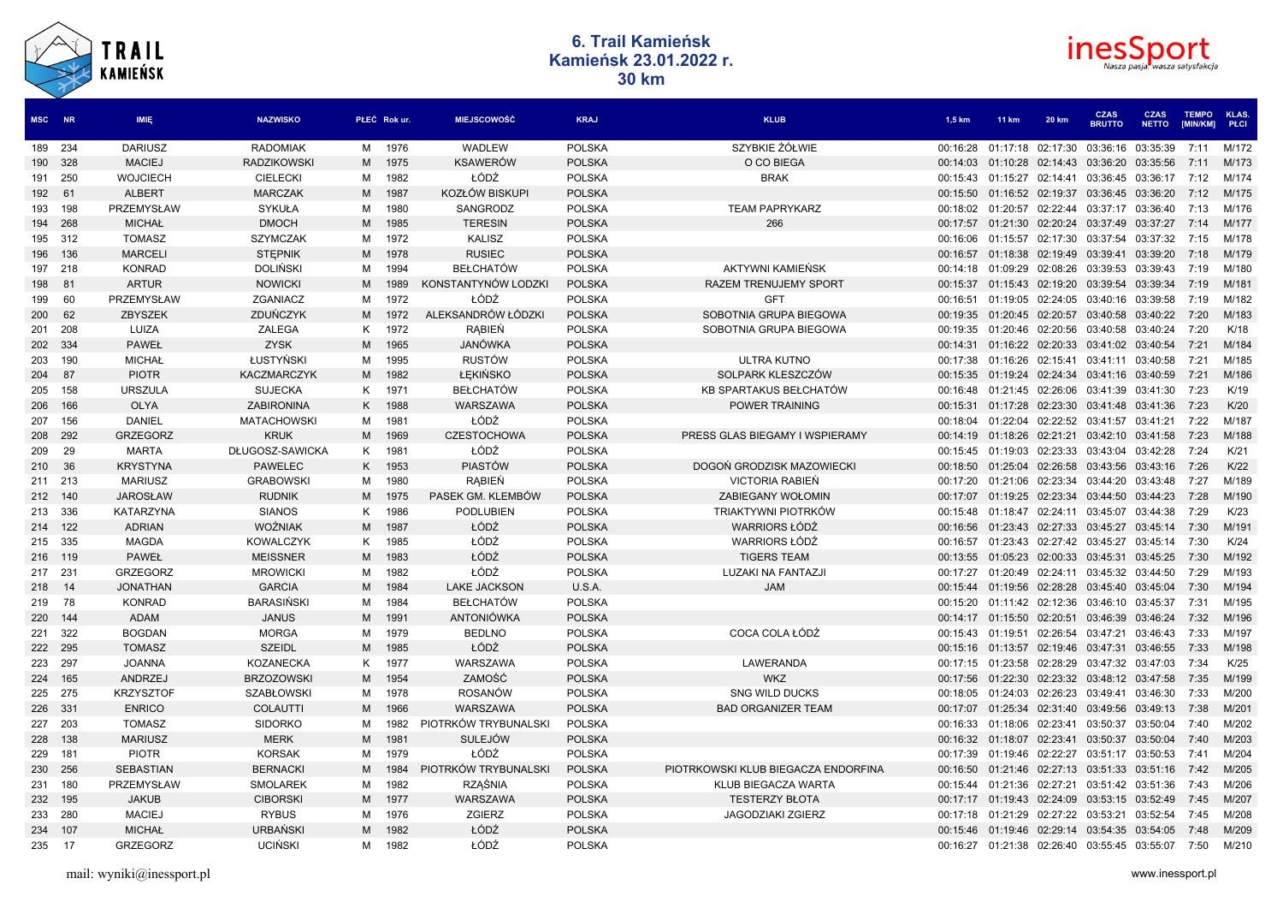



| MSC NR  |     | <b>IMIE</b>      | <b>NAZWISKO</b>    |   | PŁEĆ Rokur. | <b>MIEJSCOWOŚĆ</b>   | <b>KRAJ</b>   | <b>KLUB</b>                         | 1,5 km   | <b>11 km</b>      | 20 km             | <b>CZAS</b><br><b>BRUTTO</b> | <b>CZAS</b><br><b>NETTO</b> | <b>TEMPO</b><br>[MIN/KM] | <b>KLAS</b><br>PŁCI |
|---------|-----|------------------|--------------------|---|-------------|----------------------|---------------|-------------------------------------|----------|-------------------|-------------------|------------------------------|-----------------------------|--------------------------|---------------------|
| 189 234 |     | <b>DARIUSZ</b>   | <b>RADOMIAK</b>    | М | 1976        | WADLEW               | <b>POLSKA</b> | SZYBKIE ŻÓŁWIE                      | 00:16:28 | 01:17:18          | 02:17:30          | 03:36:16                     | 03:35:39                    | 7:11                     | M/172               |
| 190 328 |     | <b>MACIEJ</b>    | <b>RADZIKOWSKI</b> | M | 1975        | <b>KSAWERÓW</b>      | <b>POLSKA</b> | O CO BIEGA                          | 00:14:03 | 01:10:28          | 02:14:43          | 03:36:20                     | 03:35:56                    | 7:11                     | M/173               |
| 191 250 |     | <b>WOJCIECH</b>  | <b>CIELECKI</b>    | м | 1982        | ŁÓDŹ                 | <b>POLSKA</b> | <b>BRAK</b>                         | 00:15:43 | 01:15:27 02:14:41 |                   | 03:36:45 03:36:17            |                             | 7:12                     | M/174               |
| 192     | 61  | <b>ALBERT</b>    | <b>MARCZAK</b>     | M | 1987        | KOZŁÓW BISKUPI       | <b>POLSKA</b> |                                     | 00:15:50 | 01:16:52 02:19:37 |                   | 03:36:45 03:36:20            |                             | 7:12                     | M/175               |
| 193     | 198 | PRZEMYSŁAW       | SYKUŁA             | м | 1980        | SANGRODZ             | <b>POLSKA</b> | <b>TEAM PAPRYKARZ</b>               | 00:18:02 | 01:20:57 02:22:44 |                   | 03:37:17 03:36:40            |                             | 7:13                     | M/176               |
| 194     | 268 | <b>MICHAŁ</b>    | <b>DMOCH</b>       | M | 1985        | <b>TERESIN</b>       | <b>POLSKA</b> | 266                                 | 00:17:57 | 01:21:30          | 02:20:24          | 03:37:49                     | 03:37:27                    | 7:14                     | M/177               |
| 195 312 |     | <b>TOMASZ</b>    | <b>SZYMCZAK</b>    | М | 1972        | <b>KALISZ</b>        | <b>POLSKA</b> |                                     | 00:16:06 |                   | 01:15:57 02:17:30 |                              | 03:37:54 03:37:32           | 7:15                     | M/178               |
| 196     | 136 | <b>MARCELI</b>   | <b>STEPNIK</b>     | М | 1978        | <b>RUSIEC</b>        | <b>POLSKA</b> |                                     | 00:16:57 | 01:18:38          | 02:19:49          | 03:39:41                     | 03:39:20                    | 7:18                     | M/179               |
| 197 218 |     | <b>KONRAD</b>    | <b>DOLINSKI</b>    | м | 1994        | <b>BEŁCHATÓW</b>     | <b>POLSKA</b> | AKTYWNI KAMIEŃSK                    | 00:14:18 | 01:09:29          | 02:08:26          | 03:39:53 03:39:43            |                             | 7:19                     | M/180               |
| 198     | 81  | <b>ARTUR</b>     | <b>NOWICKI</b>     | м | 1989        | KONSTANTYNÓW LODZKI  | <b>POLSKA</b> | <b>RAZEM TRENUJEMY SPORT</b>        | 00:15:37 | 01:15:43          | 02:19:20          | 03:39:54                     | 03:39:34                    | 7:19                     | M/181               |
| 199     | 60  | PRZEMYSŁAW       | ZGANIACZ           | М | 1972        | ŁÓDŹ                 | <b>POLSKA</b> | <b>GFT</b>                          | 00:16:51 |                   | 01:19:05 02:24:05 | 03:40:16 03:39:58            |                             | 7:19                     | M/182               |
| 200     | 62  | <b>ZBYSZEK</b>   | ZDUŃCZYK           | м | 1972        | ALEKSANDRÓW ŁÓDZKI   | <b>POLSKA</b> | SOBOTNIA GRUPA BIEGOWA              | 00:19:35 | 01:20:45          | 02:20:57          | 03:40:58                     | 03:40:22                    | 7:20                     | M/183               |
| 201     | 208 | LUIZA            | ZALEGA             | Κ | 1972        | RABIEN               | <b>POLSKA</b> | SOBOTNIA GRUPA BIEGOWA              | 00:19:35 | 01:20:46 02:20:56 |                   | 03:40:58 03:40:24            |                             | 7:20                     | K/18                |
| 202 334 |     | <b>PAWEŁ</b>     | <b>ZYSK</b>        | M | 1965        | JANÓWKA              | <b>POLSKA</b> |                                     | 00:14:31 | 01:16:22          | 02:20:33          | 03:41:02                     | 03:40:54                    | 7:21                     | M/184               |
| 203     | 190 | MICHAŁ           | ŁUSTYŃSKI          | м | 1995        | <b>RUSTÓW</b>        | <b>POLSKA</b> | <b>ULTRA KUTNO</b>                  | 00:17:38 | 01:16:26 02:15:41 |                   | 03:41:11 03:40:58            |                             | 7:21                     | M/185               |
| 204     | 87  | <b>PIOTR</b>     | <b>KACZMARCZYK</b> | M | 1982        | ŁEKIŃSKO             | <b>POLSKA</b> | SOLPARK KLESZCZÓW                   | 00:15:35 | 01:19:24          | 02:24:34          | 03:41:16 03:40:59            |                             | 7:21                     | M/186               |
| 205     | 158 | <b>URSZULA</b>   | <b>SUJECKA</b>     | K | 1971        | <b>BEŁCHATÓW</b>     | <b>POLSKA</b> | KB SPARTAKUS BEŁCHATÓW              | 00:16:48 | 01:21:45          | 02:26:06          | 03:41:39 03:41:30            |                             | 7:23                     | K/19                |
| 206     | 166 | <b>OLYA</b>      | ZABIRONINA         | K | 1988        | WARSZAWA             | <b>POLSKA</b> | <b>POWER TRAINING</b>               | 00:15:31 | 01:17:28          | 02:23:30          | 03:41:48                     | 03:41:36                    | 7:23                     | K/20                |
| 207     | 156 | DANIEL           | <b>MATACHOWSKI</b> | м | 1981        | ŁÓDŹ                 | <b>POLSKA</b> |                                     | 00:18:04 | 01:22:04          | 02:22:52          | 03:41:57 03:41:21            |                             | 7:22                     | M/187               |
| 208     | 292 | <b>GRZEGORZ</b>  | <b>KRUK</b>        | M | 1969        | <b>CZESTOCHOWA</b>   | <b>POLSKA</b> | PRESS GLAS BIEGAMY I WSPIERAMY      | 00:14:19 | 01:18:26 02:21:21 |                   | 03:42:10 03:41:58            |                             | 7:23                     | M/188               |
| 209     | 29  | MARTA            | DŁUGOSZ-SAWICKA    | K | 1981        | ŁÓDŹ                 | <b>POLSKA</b> |                                     | 00:15:45 | 01:19:03          | 02:23:33          | 03:43:04 03:42:28            |                             | 7:24                     | K/21                |
| 210     | 36  | <b>KRYSTYNA</b>  | <b>PAWELEC</b>     | K | 1953        | <b>PIASTÓW</b>       | <b>POLSKA</b> | DOGOŃ GRODZISK MAZOWIECKI           | 00:18:50 | 01:25:04          | 02:26:58          | 03:43:56                     | 03:43:16                    | 7:26                     | K/22                |
| 211 213 |     | <b>MARIUSZ</b>   | <b>GRABOWSKI</b>   | м | 1980        | RABIEN               | <b>POLSKA</b> | VICTORIA RABIEŃ                     | 00:17:20 | 01:21:06 02:23:34 |                   | 03:44:20 03:43:48            |                             | 7:27                     | M/189               |
| 212 140 |     | <b>JAROSŁAW</b>  | <b>RUDNIK</b>      | M | 1975        | PASEK GM. KLEMBÓW    | <b>POLSKA</b> | <b>ZABIEGANY WOŁOMIN</b>            | 00:17:07 | 01:19:25 02:23:34 |                   | 03:44:50 03:44:23            |                             | 7:28                     | M/190               |
| 213 336 |     | <b>KATARZYNA</b> | <b>SIANOS</b>      | K | 1986        | <b>PODLUBIEN</b>     | <b>POLSKA</b> | TRIAKTYWNI PIOTRKÓW                 | 00:15:48 | 01:18:47 02:24:11 |                   | 03:45:07 03:44:38            |                             | 7:29                     | K/23                |
| 214 122 |     | <b>ADRIAN</b>    | <b>WOŹNIAK</b>     | M | 1987        | ŁÓDŹ                 | <b>POLSKA</b> | <b>WARRIORS ŁÓDŹ</b>                | 00:16:56 | 01:23:43          | 02:27:33          | 03:45:27                     | 03:45:14                    | 7:30                     | M/191               |
| 215 335 |     | <b>MAGDA</b>     | <b>KOWALCZYK</b>   | K | 1985        | ŁÓDŹ                 | <b>POLSKA</b> | <b>WARRIORS ŁÓDŹ</b>                | 00:16:57 |                   | 01:23:43 02:27:42 | 03:45:27 03:45:14            |                             | 7:30                     | K/24                |
| 216 119 |     | <b>PAWEŁ</b>     | <b>MEISSNER</b>    | M | 1983        | ŁÓDŹ                 | <b>POLSKA</b> | <b>TIGERS TEAM</b>                  | 00:13:55 |                   | 01:05:23 02:00:33 | 03:45:31 03:45:25            |                             | 7:30                     | M/192               |
| 217 231 |     | <b>GRZEGORZ</b>  | <b>MROWICKI</b>    | м | 1982        | ŁÓDŹ                 | <b>POLSKA</b> | LUZAKI NA FANTAZJI                  | 00:17:27 | 01:20:49 02:24:11 |                   | 03:45:32 03:44:50            |                             | 7:29                     | M/193               |
| 218 14  |     | <b>JONATHAN</b>  | <b>GARCIA</b>      | M | 1984        | <b>LAKE JACKSON</b>  | U.S.A.        | <b>JAM</b>                          | 00:15:44 | 01:19:56 02:28:28 |                   | 03:45:40 03:45:04            |                             | 7:30                     | M/194               |
| 219 78  |     | <b>KONRAD</b>    | <b>BARASIŃSKI</b>  | М | 1984        | <b>BEŁCHATÓW</b>     | <b>POLSKA</b> |                                     | 00:15:20 | 01:11:42 02:12:36 |                   | 03:46:10 03:45:37            |                             | 7:31                     | M/195               |
| 220 144 |     | ADAM             | <b>JANUS</b>       | м | 1991        | <b>ANTONIÓWKA</b>    | <b>POLSKA</b> |                                     | 00:14:17 | 01:15:50 02:20:51 |                   | 03:46:39 03:46:24            |                             | 7:32                     | M/196               |
| 221     | 322 | <b>BOGDAN</b>    | <b>MORGA</b>       | м | 1979        | <b>BEDLNO</b>        | <b>POLSKA</b> | COCA COLA ŁÓDŹ                      | 00:15:43 | 01:19:51          | 02:26:54          | 03:47:21 03:46:43            |                             | 7:33                     | M/197               |
| 222 295 |     | <b>TOMASZ</b>    | <b>SZEIDL</b>      | M | 1985        | ŁÓDŹ                 | <b>POLSKA</b> |                                     | 00:15:16 | 01:13:57 02:19:46 |                   | 03:47:31 03:46:55            |                             | 7:33                     | M/198               |
| 223     | 297 | <b>JOANNA</b>    | <b>KOZANECKA</b>   | Κ | 1977        | WARSZAWA             | <b>POLSKA</b> | LAWERANDA                           | 00:17:15 | 01:23:58          | 02:28:29          | 03:47:32 03:47:03            |                             | 7:34                     | K/25                |
| 224     | 165 | ANDRZEJ          | <b>BRZOZOWSKI</b>  | M | 1954        | ZAMOŚĆ               | <b>POLSKA</b> | <b>WKZ</b>                          | 00:17:56 | 01:22:30          | 02:23:32          | 03:48:12 03:47:58            |                             | 7:35                     | M/199               |
| 225 275 |     | <b>KRZYSZTOF</b> | <b>SZABŁOWSKI</b>  | М | 1978        | <b>ROSANÓW</b>       | <b>POLSKA</b> | <b>SNG WILD DUCKS</b>               | 00:18:05 | 01:24:03          | 02:26:23          | 03:49:41 03:46:30            |                             | 7:33                     | M/200               |
| 226 331 |     | <b>ENRICO</b>    | <b>COLAUTTI</b>    | M | 1966        | WARSZAWA             | <b>POLSKA</b> | <b>BAD ORGANIZER TEAM</b>           | 00:17:07 | 01:25:34          | 02:31:40          | 03:49:56                     | 03:49:13                    | 7:38                     | M/201               |
| 227     | 203 | <b>TOMASZ</b>    | <b>SIDORKO</b>     | М | 1982        | PIOTRKÓW TRYBUNALSKI | <b>POLSKA</b> |                                     | 00:16:33 | 01:18:06          | 02:23:41          | 03:50:37                     | 03:50:04                    | 7:40                     | M/202               |
| 228 138 |     | <b>MARIUSZ</b>   | <b>MERK</b>        | M | 1981        | <b>SULEJÓW</b>       | <b>POLSKA</b> |                                     | 00:16:32 | 01:18:07 02:23:41 |                   | 03:50:37 03:50:04            |                             | 7:40                     | M/203               |
| 229     | 181 | <b>PIOTR</b>     | <b>KORSAK</b>      | М | 1979        | ŁÓDŹ                 | <b>POLSKA</b> |                                     | 00:17:39 | 01:19:46          | 02:22:27          | 03:51:17 03:50:53            |                             | 7:41                     | M/204               |
| 230 256 |     | <b>SEBASTIAN</b> | <b>BERNACKI</b>    | м | 1984        | PIOTRKÓW TRYBUNALSKI | <b>POLSKA</b> | PIOTRKOWSKI KLUB BIEGACZA ENDORFINA | 00:16:50 | 01:21:46          | 02:27:13          | 03:51:33 03:51:16            |                             | 7:42                     | M/205               |
| 231     | 180 | PRZEMYSŁAW       | <b>SMOLAREK</b>    | м | 1982        | <b>RZĄŚNIA</b>       | <b>POLSKA</b> | KLUB BIEGACZA WARTA                 | 00:15:44 | 01:21:36          | 02:27:21          | 03:51:42 03:51:36            |                             | 7:43                     | M/206               |
| 232 195 |     | <b>JAKUB</b>     | <b>CIBORSKI</b>    | М | 1977        | <b>WARSZAWA</b>      | <b>POLSKA</b> | <b>TESTERZY BŁOTA</b>               | 00:17:17 | 01:19:43 02:24:09 |                   | 03:53:15 03:52:49            |                             | 7:45                     | M/207               |
| 233     | 280 | <b>MACIEJ</b>    | <b>RYBUS</b>       | М | 1976        | ZGIERZ               | <b>POLSKA</b> | <b>JAGODZIAKI ZGIERZ</b>            | 00:17:18 | 01:21:29          | 02:27:22          | 03:53:21                     | 03:52:54                    | 7:45                     | M/208               |
| 234 107 |     | <b>MICHAŁ</b>    | <b>URBAŃSKI</b>    | M | 1982        | ŁÓDŹ                 | <b>POLSKA</b> |                                     | 00:15:46 | 01:19:46          | 02:29:14          | 03:54:35 03:54:05            |                             | 7:48                     | M/209               |
| 235 17  |     | <b>GRZEGORZ</b>  | <b>UCIŃSKI</b>     | м | 1982        | ŁÓDŹ                 | <b>POLSKA</b> |                                     | 00:16:27 |                   | 01:21:38 02:26:40 | 03:55:45 03:55:07            |                             | 7:50                     | M/210               |